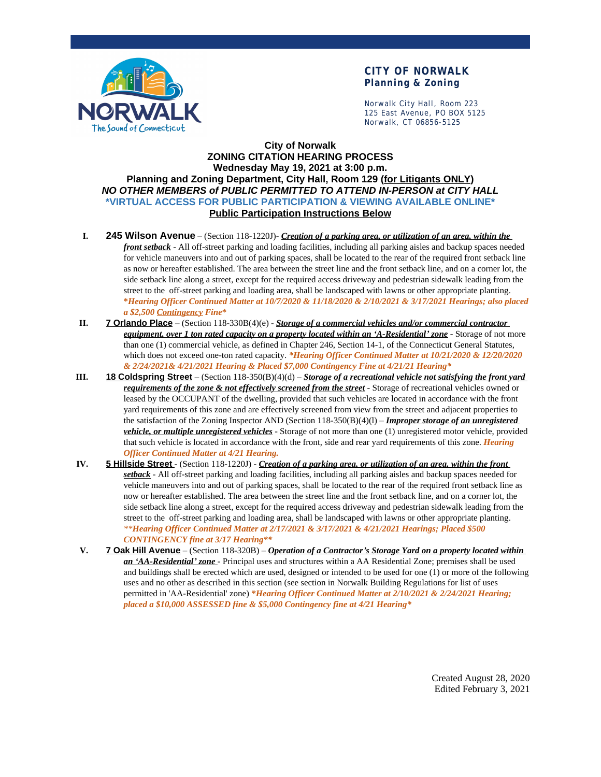

## **CITY OF NORWALK Planning & Zoning**

Norwalk City Hall, Room 223 125 East Avenue, PO BOX 5125 Norwalk, CT 06856-5125

## **City of Norwalk ZONING CITATION HEARING PROCESS Wednesday May 19, 2021 at 3:00 p.m. Planning and Zoning Department, City Hall, Room 129 (for Litigants ONLY)** *NO OTHER MEMBERS of PUBLIC PERMITTED TO ATTEND IN-PERSON at CITY HALL* **\*VIRTUAL ACCESS FOR PUBLIC PARTICIPATION & VIEWING AVAILABLE ONLINE\* Public Participation Instructions Below**

- **I. 245 Wilson Avenue** (Section 118-1220J)- *Creation of a parking area, or utilization of an area, within the front setback* - All off-street parking and loading facilities, including all parking aisles and backup spaces needed for vehicle maneuvers into and out of parking spaces, shall be located to the rear of the required front setback line as now or hereafter established. The area between the street line and the front setback line, and on a corner lot, the side setback line along a street, except for the required access driveway and pedestrian sidewalk leading from the street to the off-street parking and loading area, shall be landscaped with lawns or other appropriate planting. **\****Hearing Officer Continued Matter at 10/7/2020 & 11/18/2020 & 2/10/2021 & 3/17/2021 Hearings; also placed a \$2,500 Contingency Fine***\***
- **II. 7 Orlando Place** (Section 118-330B(4)(e) *Storage of a commercial vehicles and/or commercial contractor equipment, over 1 ton rated capacity on a property located within an 'A-Residential' zone* - Storage of not more than one (1) commercial vehicle, as defined in Chapter 246, Section 14-1, of the Connecticut General Statutes, which does not exceed one-ton rated capacity. *\*Hearing Officer Continued Matter at 10/21/2020 & 12/20/2020 & 2/24/2021& 4/21/2021 Hearing & Placed \$7,000 Contingency Fine at 4/21/21 Hearing\**
- **III. 18 Coldspring Street** (Section 118-350(B)(4)(d) *Storage of a recreational vehicle not satisfying the front yard requirements of the zone & not effectively screened from the street* - Storage of recreational vehicles owned or leased by the OCCUPANT of the dwelling, provided that such vehicles are located in accordance with the front yard requirements of this zone and are effectively screened from view from the street and adjacent properties to the satisfaction of the Zoning Inspector AND (Section 118-350(B)(4)(l) – *Improper storage of an unregistered vehicle, or multiple unregistered vehicles* - Storage of not more than one (1) unregistered motor vehicle, provided that such vehicle is located in accordance with the front, side and rear yard requirements of this zone. *Hearing Officer Continued Matter at 4/21 Hearing.*
- **IV. 5 Hillside Street** (Section 118-1220J) *Creation of a parking area, or utilization of an area, within the front setback* - All off-street parking and loading facilities, including all parking aisles and backup spaces needed for vehicle maneuvers into and out of parking spaces, shall be located to the rear of the required front setback line as now or hereafter established. The area between the street line and the front setback line, and on a corner lot, the side setback line along a street, except for the required access driveway and pedestrian sidewalk leading from the street to the off-street parking and loading area, shall be landscaped with lawns or other appropriate planting. *\*\*Hearing Officer Continued Matter at 2/17/2021 & 3/17/2021 & 4/21/2021 Hearings; Placed \$500 CONTINGENCY fine at 3/17 Hearing\*\**
- **V. 7 Oak Hill Avenue** (Section 118-320B) *Operation of a Contractor's Storage Yard on a property located within an 'AA-Residential' zone* - Principal uses and structures within a AA Residential Zone; premises shall be used and buildings shall be erected which are used, designed or intended to be used for one (1) or more of the following uses and no other as described in this section (see section in Norwalk Building Regulations for list of uses permitted in 'AA-Residential' zone) *\*Hearing Officer Continued Matter at 2/10/2021 & 2/24/2021 Hearing; placed a \$10,000 ASSESSED fine & \$5,000 Contingency fine at 4/21 Hearing\**

Created August 28, 2020 Edited February 3, 2021